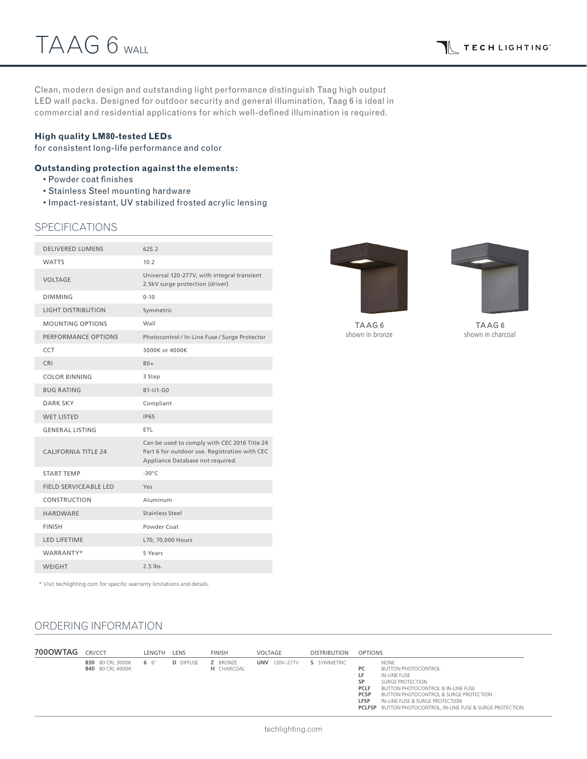Clean, modern design and outstanding light performance distinguish Taag high output LED wall packs. Designed for outdoor security and general illumination, Taag 6 is ideal in commercial and residential applications for which well-defined illumination is required.

### **High quality LM80-tested LEDs**

for consistent long-life performance and color

### **Outstanding protection against the elements:**

- Powder coat finishes
- Stainless Steel mounting hardware
- Impact-resistant, UV stabilized frosted acrylic lensing

## **SPECIFICATIONS**

| <b>DELIVERED LUMENS</b>      | 625.2                                                                                                                             |
|------------------------------|-----------------------------------------------------------------------------------------------------------------------------------|
| <b>WATTS</b>                 | 10.2                                                                                                                              |
| <b>VOLTAGE</b>               | Universal 120-277V, with integral transient<br>2.5kV surge protection (driver)                                                    |
| <b>DIMMING</b>               | $0 - 10$                                                                                                                          |
| <b>LIGHT DISTRIBUTION</b>    | Symmetric                                                                                                                         |
| <b>MOUNTING OPTIONS</b>      | Wall                                                                                                                              |
| PERFORMANCE OPTIONS          | Photocontrol / In-Line Fuse / Surge Protector                                                                                     |
| CCT                          | 3000K or 4000K                                                                                                                    |
| CRI                          | $80+$                                                                                                                             |
| <b>COLOR BINNING</b>         | 3 Step                                                                                                                            |
| <b>BUG RATING</b>            | B1-U1-G0                                                                                                                          |
| <b>DARK SKY</b>              | Compliant                                                                                                                         |
| <b>WET LISTED</b>            | <b>IP65</b>                                                                                                                       |
| <b>GENERAL LISTING</b>       | ETL                                                                                                                               |
| <b>CALIFORNIA TITLE 24</b>   | Can be used to comply with CEC 2016 Title 24<br>Part 6 for outdoor use. Registration with CEC<br>Appliance Database not required. |
| <b>START TEMP</b>            | $-30^{\circ}$ C                                                                                                                   |
| <b>FIELD SERVICEABLE LED</b> | Yes                                                                                                                               |
| CONSTRUCTION                 | Aluminum                                                                                                                          |
| <b>HARDWARE</b>              | Stainless Steel                                                                                                                   |
| <b>FINISH</b>                | Powder Coat                                                                                                                       |
| <b>LED LIFETIME</b>          | L70; 70,000 Hours                                                                                                                 |
| WARRANTY*                    | 5 Years                                                                                                                           |
| WEIGHT                       | $2.5$ lbs.                                                                                                                        |
|                              |                                                                                                                                   |



TAAG 6 shown in bronze

TAAG 6 shown in charcoal

\* Visit techlighting.com for specific warranty limitations and details.

# ORDERING INFORMATION

| 700OWTAG | CRI/CCT                                | LENGTH | LENS             | <b>FINISH</b>                        | VOLTAGE          | <b>DISTRIBUTION</b> | <b>OPTIONS</b>                                                                                                                                                                                                                                                                                                                                               |
|----------|----------------------------------------|--------|------------------|--------------------------------------|------------------|---------------------|--------------------------------------------------------------------------------------------------------------------------------------------------------------------------------------------------------------------------------------------------------------------------------------------------------------------------------------------------------------|
|          | 830 80 CRI, 3000K<br>840 80 CRI. 4000K | 6 6"   | <b>D</b> DIFFUSE | <b>Z</b> BRONZE<br><b>H</b> CHARCOAL | 120V-277V<br>UNV | S SYMMETRIC         | <b>NONE</b><br><b>PC</b><br><b>BUTTON PHOTOCONTROL</b><br>LF.<br>IN-LINE FUSE<br>SP<br>SURGE PROTECTION<br><b>PCLF</b><br><b>BUTTON PHOTOCONTROL &amp; IN-LINE FUSE</b><br><b>PCSP</b><br><b>BUTTON PHOTOCONTROL &amp; SURGE PROTECTION</b><br>LFSP<br>IN-LINE FUSE & SURGE PROTECTION<br><b>PCLFSP</b> BUTTON PHOTOCONTROL, IN-LINE FUSE & SURGE PROTECTION |